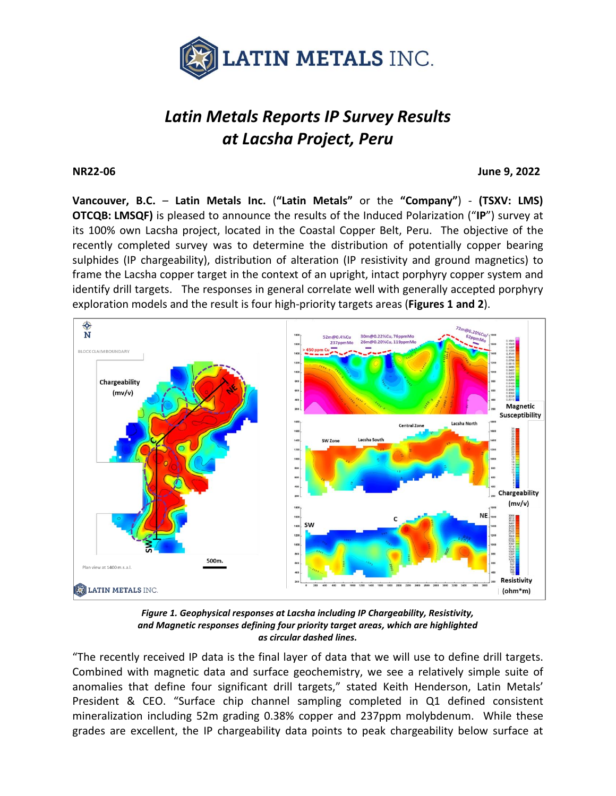

# *Latin Metals Reports IP Survey Results at Lacsha Project, Peru*

**NR22-06 June 9, 2022**

**Vancouver, B.C.** – **Latin Metals Inc.** (**"Latin Metals"** or the **"Company"**) - **(TSXV: LMS) OTCQB: LMSQF)** is pleased to announce the results of the Induced Polarization ("**IP**") survey at its 100% own Lacsha project, located in the Coastal Copper Belt, Peru. The objective of the recently completed survey was to determine the distribution of potentially copper bearing sulphides (IP chargeability), distribution of alteration (IP resistivity and ground magnetics) to frame the Lacsha copper target in the context of an upright, intact porphyry copper system and identify drill targets. The responses in general correlate well with generally accepted porphyry exploration models and the result is four high-priority targets areas (**Figures 1 and 2**).



*Figure 1. Geophysical responses at Lacsha including IP Chargeability, Resistivity, and Magnetic responses defining four priority target areas, which are highlighted as circular dashed lines.*

"The recently received IP data is the final layer of data that we will use to define drill targets. Combined with magnetic data and surface geochemistry, we see a relatively simple suite of anomalies that define four significant drill targets," stated Keith Henderson, Latin Metals' President & CEO. "Surface chip channel sampling completed in Q1 defined consistent mineralization including 52m grading 0.38% copper and 237ppm molybdenum. While these grades are excellent, the IP chargeability data points to peak chargeability below surface at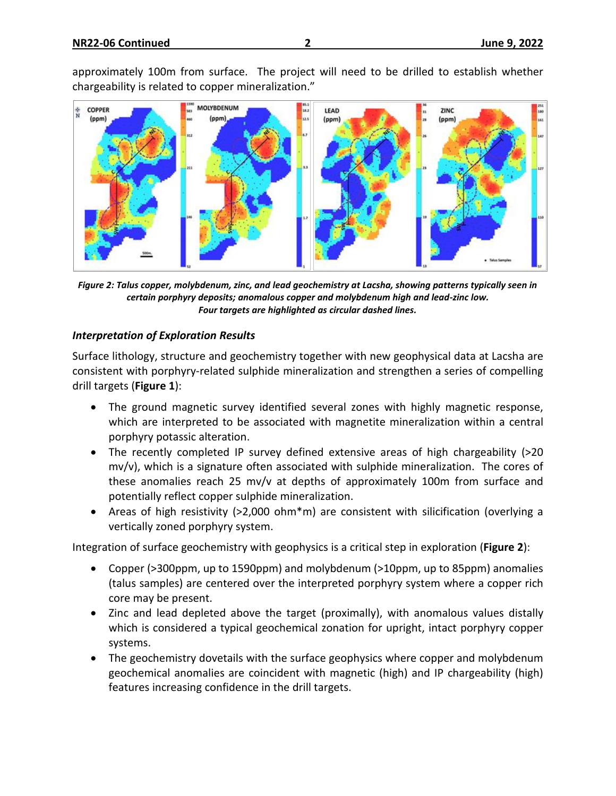approximately 100m from surface. The project will need to be drilled to establish whether chargeability is related to copper mineralization."



*Figure 2: Talus copper, molybdenum, zinc, and lead geochemistry at Lacsha, showing patterns typically seen in certain porphyry deposits; anomalous copper and molybdenum high and lead-zinc low. Four targets are highlighted as circular dashed lines.*

## *Interpretation of Exploration Results*

Surface lithology, structure and geochemistry together with new geophysical data at Lacsha are consistent with porphyry-related sulphide mineralization and strengthen a series of compelling drill targets (**Figure 1**):

- The ground magnetic survey identified several zones with highly magnetic response, which are interpreted to be associated with magnetite mineralization within a central porphyry potassic alteration.
- The recently completed IP survey defined extensive areas of high chargeability (>20 mv/v), which is a signature often associated with sulphide mineralization. The cores of these anomalies reach 25 mv/v at depths of approximately 100m from surface and potentially reflect copper sulphide mineralization.
- Areas of high resistivity (>2,000 ohm\*m) are consistent with silicification (overlying a vertically zoned porphyry system.

Integration of surface geochemistry with geophysics is a critical step in exploration (**Figure 2**):

- Copper (>300ppm, up to 1590ppm) and molybdenum (>10ppm, up to 85ppm) anomalies (talus samples) are centered over the interpreted porphyry system where a copper rich core may be present.
- Zinc and lead depleted above the target (proximally), with anomalous values distally which is considered a typical geochemical zonation for upright, intact porphyry copper systems.
- The geochemistry dovetails with the surface geophysics where copper and molybdenum geochemical anomalies are coincident with magnetic (high) and IP chargeability (high) features increasing confidence in the drill targets.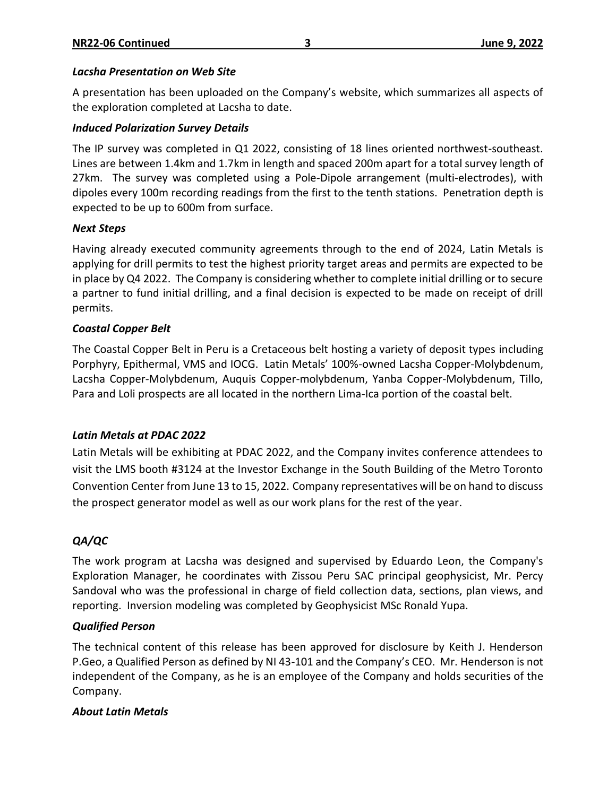### *Lacsha Presentation on Web Site*

A presentation has been uploaded on the Company's website, which summarizes all aspects of the exploration completed at Lacsha to date.

### *Induced Polarization Survey Details*

The IP survey was completed in Q1 2022, consisting of 18 lines oriented northwest-southeast. Lines are between 1.4km and 1.7km in length and spaced 200m apart for a total survey length of 27km. The survey was completed using a Pole-Dipole arrangement (multi-electrodes), with dipoles every 100m recording readings from the first to the tenth stations. Penetration depth is expected to be up to 600m from surface.

#### *Next Steps*

Having already executed community agreements through to the end of 2024, Latin Metals is applying for drill permits to test the highest priority target areas and permits are expected to be in place by Q4 2022. The Company is considering whether to complete initial drilling or to secure a partner to fund initial drilling, and a final decision is expected to be made on receipt of drill permits.

### *Coastal Copper Belt*

The Coastal Copper Belt in Peru is a Cretaceous belt hosting a variety of deposit types including Porphyry, Epithermal, VMS and IOCG. Latin Metals' 100%-owned Lacsha Copper-Molybdenum, Lacsha Copper-Molybdenum, Auquis Copper-molybdenum, Yanba Copper-Molybdenum, Tillo, Para and Loli prospects are all located in the northern Lima-Ica portion of the coastal belt.

### *Latin Metals at PDAC 2022*

Latin Metals will be exhibiting at PDAC 2022, and the Company invites conference attendees to visit the LMS booth #3124 at the Investor Exchange in the South Building of the Metro Toronto Convention Center from June 13 to 15, 2022. Company representatives will be on hand to discuss the prospect generator model as well as our work plans for the rest of the year.

# *QA/QC*

The work program at Lacsha was designed and supervised by Eduardo Leon, the Company's Exploration Manager, he coordinates with Zissou Peru SAC principal geophysicist, Mr. Percy Sandoval who was the professional in charge of field collection data, sections, plan views, and reporting. Inversion modeling was completed by Geophysicist MSc Ronald Yupa.

### *Qualified Person*

The technical content of this release has been approved for disclosure by Keith J. Henderson P.Geo, a Qualified Person as defined by NI 43-101 and the Company's CEO. Mr. Henderson is not independent of the Company, as he is an employee of the Company and holds securities of the Company.

### *About Latin Metals*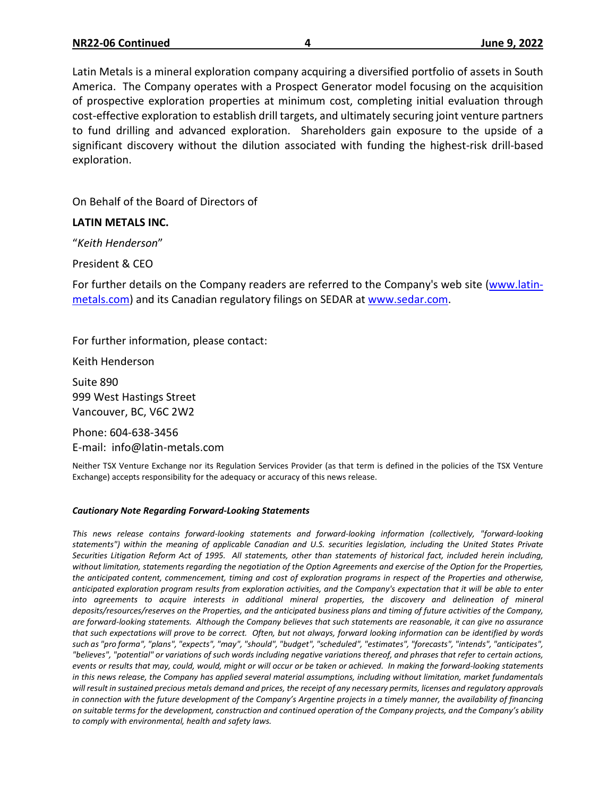Latin Metals is a mineral exploration company acquiring a diversified portfolio of assets in South America. The Company operates with a Prospect Generator model focusing on the acquisition of prospective exploration properties at minimum cost, completing initial evaluation through cost-effective exploration to establish drill targets, and ultimately securing joint venture partners to fund drilling and advanced exploration. Shareholders gain exposure to the upside of a significant discovery without the dilution associated with funding the highest-risk drill-based exploration.

On Behalf of the Board of Directors of

#### **LATIN METALS INC.**

"*Keith Henderson*"

President & CEO

For further details on the Company readers are referred to the Company's web site [\(www.latin](http://www.centeneramining.com/)[metals.com\)](http://www.centeneramining.com/) and its Canadian regulatory filings on SEDAR at [www.sedar.com.](http://www.sedar.com/)

For further information, please contact:

Keith Henderson

Suite 890 999 West Hastings Street Vancouver, BC, V6C 2W2

Phone: 604-638-3456 E-mail: info@latin-metals.com

Neither TSX Venture Exchange nor its Regulation Services Provider (as that term is defined in the policies of the TSX Venture Exchange) accepts responsibility for the adequacy or accuracy of this news release.

#### *Cautionary Note Regarding Forward-Looking Statements*

*This news release contains forward-looking statements and forward-looking information (collectively, "forward-looking* statements") within the meaning of applicable Canadian and U.S. securities legislation, including the United States Private Securities Litigation Reform Act of 1995. All statements, other than statements of historical fact, included herein including, without limitation, statements regarding the negotiation of the Option Agreements and exercise of the Option for the Properties, the anticipated content, commencement, timing and cost of exploration programs in respect of the Properties and otherwise, anticipated exploration program results from exploration activities, and the Company's expectation that it will be able to enter *into agreements to acquire interests in additional mineral properties, the discovery and delineation of mineral* deposits/resources/reserves on the Properties, and the anticipated business plans and timing of future activities of the Company, are forward-looking statements. Although the Company believes that such statements are reasonable, it can give no assurance that such expectations will prove to be correct. Often, but not always, forward looking information can be identified by words such as "pro forma", "plans", "expects", "may", "should", "budget", "scheduled", "estimates", "forecasts", "intends", "anticipates", "believes", "potential" or variations of such words including negative variations thereof, and phrases that refer to certain actions, events or results that may, could, would, might or will occur or be taken or achieved. In making the forward-looking statements in this news release, the Company has applied several material assumptions, including without limitation, market fundamentals will result in sustained precious metals demand and prices, the receipt of any necessary permits, licenses and regulatory approvals in connection with the future development of the Company's Argentine projects in a timely manner, the availability of financing on suitable terms for the development, construction and continued operation of the Company projects, and the Company's ability *to comply with environmental, health and safety laws.*